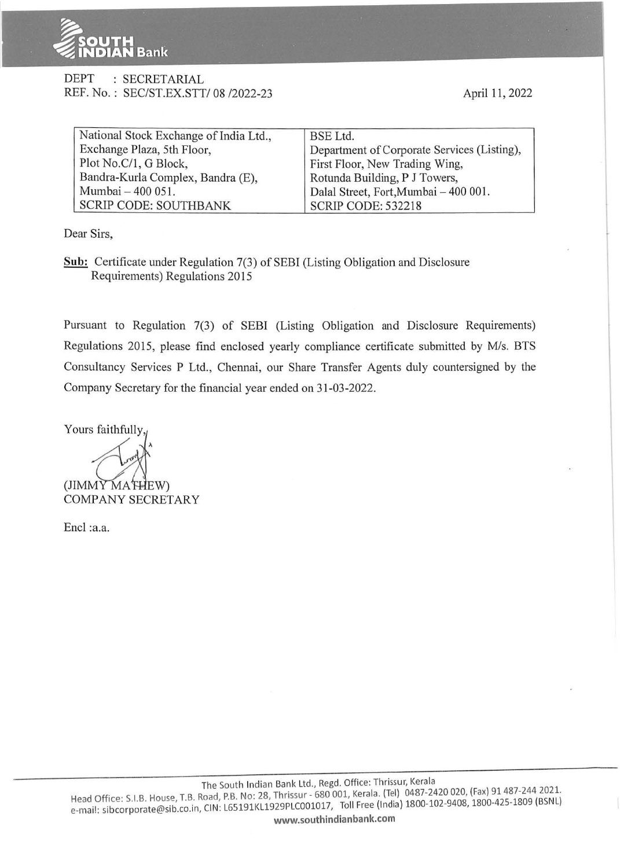

## DEPT : SECRETARIAL REF. No.: SEC/ST.EX.STT/ 08 /2022-23

April 11, 2022

| National Stock Exchange of India Ltd., | BSE Ltd.                                    |
|----------------------------------------|---------------------------------------------|
| Exchange Plaza, 5th Floor,             | Department of Corporate Services (Listing), |
| Plot No.C/1, G Block,                  | First Floor, New Trading Wing,              |
| Bandra-Kurla Complex, Bandra (E),      | Rotunda Building, P J Towers,               |
| Mumbai - 400 051.                      | Dalal Street, Fort, Mumbai - 400 001.       |
| <b>SCRIP CODE: SOUTHBANK</b>           | <b>SCRIP CODE: 532218</b>                   |

Dear Sirs,

**Sub:** Certificate under Regulation 7(3) of SEBI (Listing Obligation and Disclosure Requirements) Regulations 2015

Pursuant to Regulation 7(3) of SEBI (Listing Obligation and Disclosure Requirements) Regulations 2015, please find enclosed yearly compliance certificate submitted by M/s. BTS Consultancy Services P Ltd., Chennai, our Share Transfer Agents duly countersigned by the Company Secretary for the financial year ended on 31-03-2022.

Yours faithfully,

 $(JIMMYMA"HEW)$ COMPANY SECRETARY

Encl :a.a.